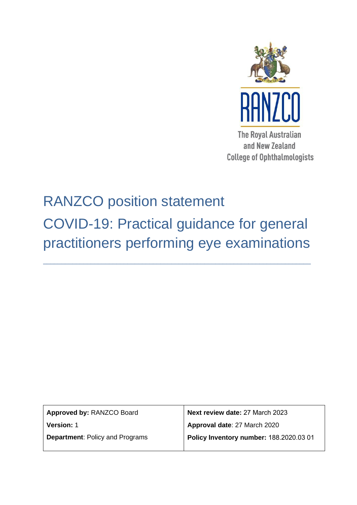

and New Zealand **College of Ophthalmologists** 

# RANZCO position statement

COVID-19: Practical guidance for general practitioners performing eye examinations

\_\_\_\_\_\_\_\_\_\_\_\_\_\_\_\_\_\_\_\_\_\_\_\_\_\_\_\_\_\_\_\_\_\_\_\_\_\_\_\_\_\_\_\_\_\_\_\_\_\_\_\_\_\_\_\_\_\_\_\_\_\_\_\_\_\_\_\_\_\_\_\_\_

| Approved by: RANZCO Board              | Next review date: 27 March 2023         |
|----------------------------------------|-----------------------------------------|
| <b>Version: 1</b>                      | Approval date: 27 March 2020            |
| <b>Department: Policy and Programs</b> | Policy Inventory number: 188.2020.03 01 |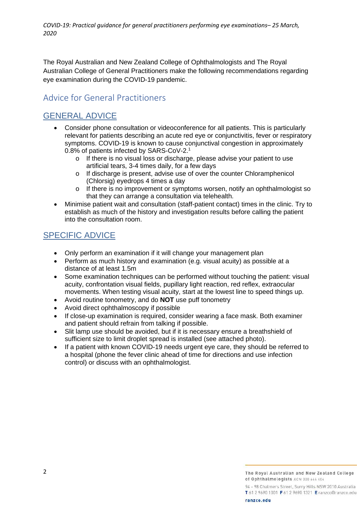*COVID-19: Practical guidance for general practitioners performing eye examinations– 25 March, 2020*

The Royal Australian and New Zealand College of Ophthalmologists and The Royal Australian College of General Practitioners make the following recommendations regarding eye examination during the COVID-19 pandemic.

## Advice for General Practitioners

### GENERAL ADVICE

- Consider phone consultation or videoconference for all patients. This is particularly relevant for patients describing an acute red eye or conjunctivitis, fever or respiratory symptoms. COVID-19 is known to cause conjunctival congestion in approximately 0.8% of patients infected by SARS-CoV-2.<sup>1</sup>
	- o If there is no visual loss or discharge, please advise your patient to use artificial tears, 3-4 times daily, for a few days
	- o If discharge is present, advise use of over the counter Chloramphenicol (Chlorsig) eyedrops 4 times a day
	- o If there is no improvement or symptoms worsen, notify an ophthalmologist so that they can arrange a consultation via telehealth.
- Minimise patient wait and consultation (staff-patient contact) times in the clinic. Try to establish as much of the history and investigation results before calling the patient into the consultation room.

#### SPECIFIC ADVICE

- Only perform an examination if it will change your management plan
- Perform as much history and examination (e.g. visual acuity) as possible at a distance of at least 1.5m
- Some examination techniques can be performed without touching the patient: visual acuity, confrontation visual fields, pupillary light reaction, red reflex, extraocular movements. When testing visual acuity, start at the lowest line to speed things up.
- Avoid routine tonometry, and do **NOT** use puff tonometry
- Avoid direct ophthalmoscopy if possible
- If close-up examination is required, consider wearing a face mask. Both examiner and patient should refrain from talking if possible.
- Slit lamp use should be avoided, but if it is necessary ensure a breathshield of sufficient size to limit droplet spread is installed (see attached photo).
- If a patient with known COVID-19 needs urgent eye care, they should be referred to a hospital (phone the fever clinic ahead of time for directions and use infection control) or discuss with an ophthalmologist.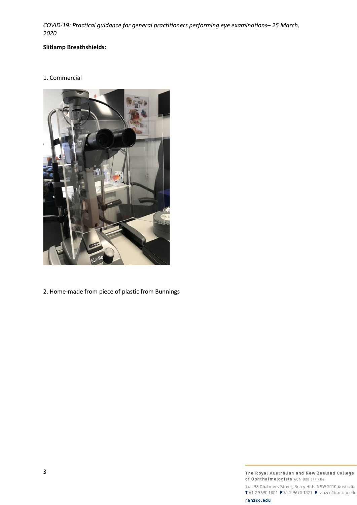*COVID-19: Practical guidance for general practitioners performing eye examinations– 25 March, 2020*

#### **Slitlamp Breathshields:**

1. Commercial



2. Home-made from piece of plastic from Bunnings